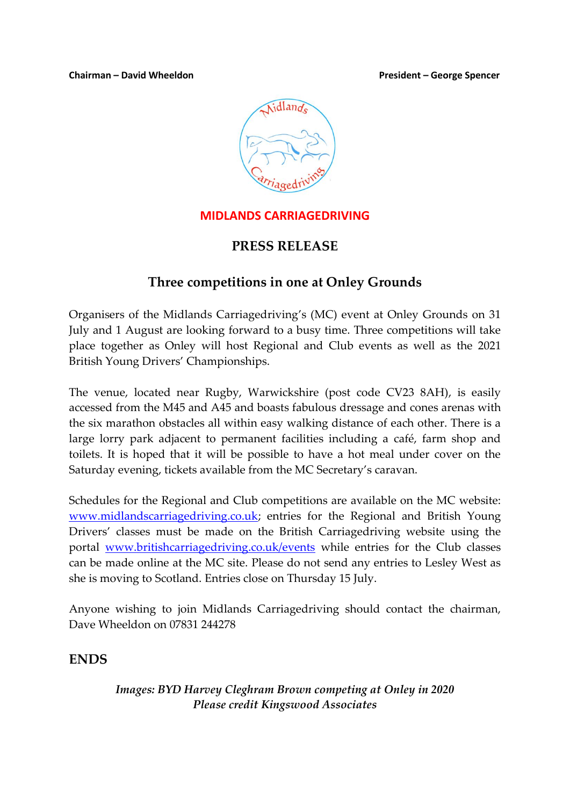#### **Chairman – David Wheeldon President – George Spencer**



### **MIDLANDS CARRIAGEDRIVING**

# **PRESS RELEASE**

# **Three competitions in one at Onley Grounds**

Organisers of the Midlands Carriagedriving's (MC) event at Onley Grounds on 31 July and 1 August are looking forward to a busy time. Three competitions will take place together as Onley will host Regional and Club events as well as the 2021 British Young Drivers' Championships.

The venue, located near Rugby, Warwickshire (post code CV23 8AH), is easily accessed from the M45 and A45 and boasts fabulous dressage and cones arenas with the six marathon obstacles all within easy walking distance of each other. There is a large lorry park adjacent to permanent facilities including a café, farm shop and toilets. It is hoped that it will be possible to have a hot meal under cover on the Saturday evening, tickets available from the MC Secretary's caravan.

Schedules for the Regional and Club competitions are available on the MC website: [www.midlandscarriagedriving.co.uk;](http://www.midlandscarriagedriving.co.uk/) entries for the Regional and British Young Drivers' classes must be made on the British Carriagedriving website using the portal [www.britishcarriagedriving.co.uk/events](http://www.britishcarriagedriving.co.uk/events) while entries for the Club classes can be made online at the MC site. Please do not send any entries to Lesley West as she is moving to Scotland. Entries close on Thursday 15 July.

Anyone wishing to join Midlands Carriagedriving should contact the chairman, Dave Wheeldon on 07831 244278

## **ENDS**

#### *Images: BYD Harvey Cleghram Brown competing at Onley in 2020 Please credit Kingswood Associates*